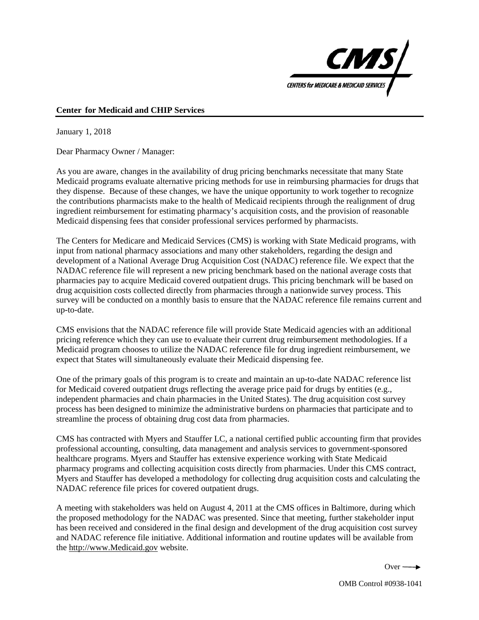

## **Center for Medicaid and CHIP Services**

January 1, 2018

Dear Pharmacy Owner / Manager:

As you are aware, changes in the availability of drug pricing benchmarks necessitate that many State Medicaid programs evaluate alternative pricing methods for use in reimbursing pharmacies for drugs that they dispense. Because of these changes, we have the unique opportunity to work together to recognize the contributions pharmacists make to the health of Medicaid recipients through the realignment of drug ingredient reimbursement for estimating pharmacy's acquisition costs, and the provision of reasonable Medicaid dispensing fees that consider professional services performed by pharmacists.

The Centers for Medicare and Medicaid Services (CMS) is working with State Medicaid programs, with input from national pharmacy associations and many other stakeholders, regarding the design and development of a National Average Drug Acquisition Cost (NADAC) reference file. We expect that the NADAC reference file will represent a new pricing benchmark based on the national average costs that pharmacies pay to acquire Medicaid covered outpatient drugs. This pricing benchmark will be based on drug acquisition costs collected directly from pharmacies through a nationwide survey process. This survey will be conducted on a monthly basis to ensure that the NADAC reference file remains current and up-to-date.

CMS envisions that the NADAC reference file will provide State Medicaid agencies with an additional pricing reference which they can use to evaluate their current drug reimbursement methodologies. If a Medicaid program chooses to utilize the NADAC reference file for drug ingredient reimbursement, we expect that States will simultaneously evaluate their Medicaid dispensing fee.

One of the primary goals of this program is to create and maintain an up-to-date NADAC reference list for Medicaid covered outpatient drugs reflecting the average price paid for drugs by entities (e.g., independent pharmacies and chain pharmacies in the United States). The drug acquisition cost survey process has been designed to minimize the administrative burdens on pharmacies that participate and to streamline the process of obtaining drug cost data from pharmacies.

CMS has contracted with Myers and Stauffer LC, a national certified public accounting firm that provides professional accounting, consulting, data management and analysis services to government-sponsored healthcare programs. Myers and Stauffer has extensive experience working with State Medicaid pharmacy programs and collecting acquisition costs directly from pharmacies. Under this CMS contract, Myers and Stauffer has developed a methodology for collecting drug acquisition costs and calculating the NADAC reference file prices for covered outpatient drugs.

A meeting with stakeholders was held on August 4, 2011 at the CMS offices in Baltimore, during which the proposed methodology for the NADAC was presented. Since that meeting, further stakeholder input has been received and considered in the final design and development of the drug acquisition cost survey and NADAC reference file initiative. Additional information and routine updates will be available from the http://www.Medicaid.gov website.